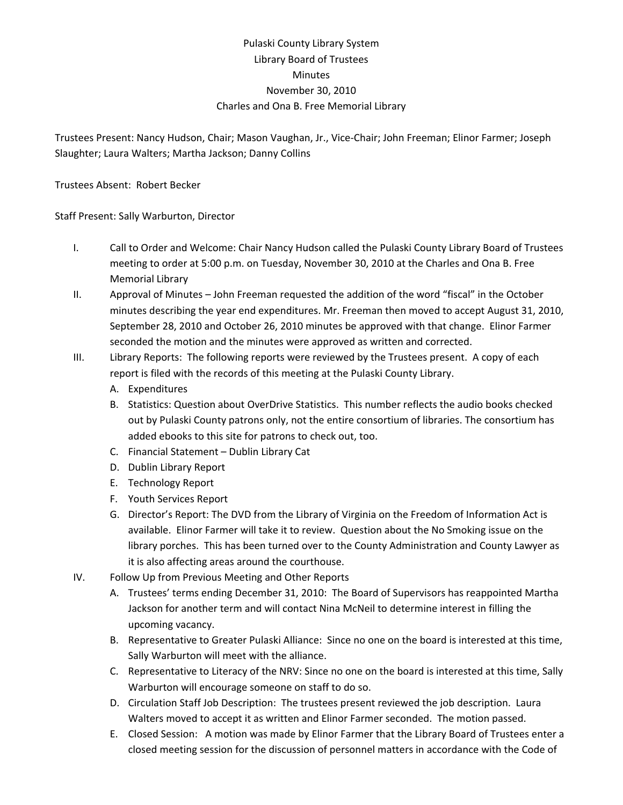## Pulaski County Library System Library Board of Trustees **Minutes** November 30, 2010 Charles and Ona B. Free Memorial Library

Trustees Present: Nancy Hudson, Chair; Mason Vaughan, Jr., Vice‐Chair; John Freeman; Elinor Farmer; Joseph Slaughter; Laura Walters; Martha Jackson; Danny Collins

Trustees Absent: Robert Becker

Staff Present: Sally Warburton, Director

- I. Call to Order and Welcome: Chair Nancy Hudson called the Pulaski County Library Board of Trustees meeting to order at 5:00 p.m. on Tuesday, November 30, 2010 at the Charles and Ona B. Free Memorial Library
- II. Approval of Minutes John Freeman requested the addition of the word "fiscal" in the October minutes describing the year end expenditures. Mr. Freeman then moved to accept August 31, 2010, September 28, 2010 and October 26, 2010 minutes be approved with that change. Elinor Farmer seconded the motion and the minutes were approved as written and corrected.
- III. Library Reports: The following reports were reviewed by the Trustees present. A copy of each report is filed with the records of this meeting at the Pulaski County Library.
	- A. Expenditures
	- B. Statistics: Question about OverDrive Statistics. This number reflects the audio books checked out by Pulaski County patrons only, not the entire consortium of libraries. The consortium has added ebooks to this site for patrons to check out, too.
	- C. Financial Statement Dublin Library Cat
	- D. Dublin Library Report
	- E. Technology Report
	- F. Youth Services Report
	- G. Director's Report: The DVD from the Library of Virginia on the Freedom of Information Act is available. Elinor Farmer will take it to review. Question about the No Smoking issue on the library porches. This has been turned over to the County Administration and County Lawyer as it is also affecting areas around the courthouse.
- IV. Follow Up from Previous Meeting and Other Reports
	- A. Trustees' terms ending December 31, 2010: The Board of Supervisors has reappointed Martha Jackson for another term and will contact Nina McNeil to determine interest in filling the upcoming vacancy.
	- B. Representative to Greater Pulaski Alliance: Since no one on the board is interested at this time, Sally Warburton will meet with the alliance.
	- C. Representative to Literacy of the NRV: Since no one on the board is interested at this time, Sally Warburton will encourage someone on staff to do so.
	- D. Circulation Staff Job Description: The trustees present reviewed the job description. Laura Walters moved to accept it as written and Elinor Farmer seconded. The motion passed.
	- E. Closed Session: A motion was made by Elinor Farmer that the Library Board of Trustees enter a closed meeting session for the discussion of personnel matters in accordance with the Code of